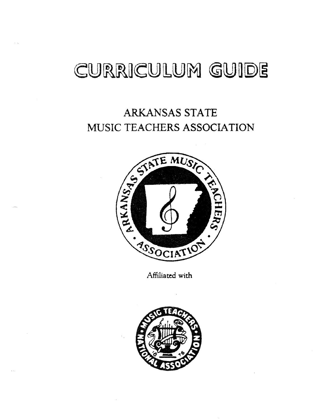# CURRICULUM GUIDE

## ARKANSAS STATE MUSIC TEACHERS **ASSOCIATION**



Affiliated with

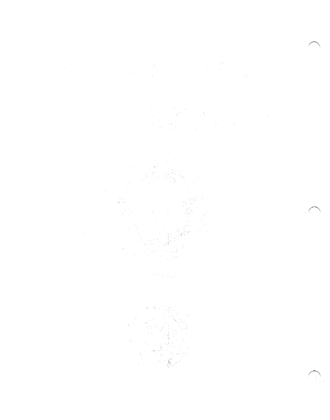$\label{eq:2.1} \frac{1}{\sqrt{2}}\int_{0}^{\infty}\frac{1}{\sqrt{2\pi}}\left(\frac{1}{\sqrt{2\pi}}\right)^{2}d\mu_{\rm{eff}}$ 





 $\mathcal{L}_{\mathcal{A}}$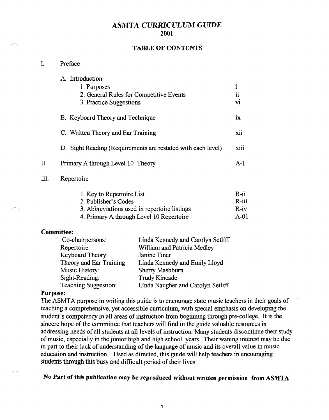#### ASMTA CURRICULUM GUIDE 2001

#### TABLE OF CONTENTS

#### 1. Preface

|    | A. Introduction<br>1. Purposes<br>2. General Rules for Competitive Events<br>3. Practice Suggestions | ı<br>ii<br>vi |
|----|------------------------------------------------------------------------------------------------------|---------------|
|    | B. Keyboard Theory and Technique                                                                     | 1X            |
|    | C. Written Theory and Ear Training                                                                   | xii           |
|    | D. Sight Reading (Requirements are restated with each level)                                         | xiii          |
| Π. | Primary A through Level 10 Theory                                                                    | $A-1$         |
|    |                                                                                                      |               |

#### ill. Repertoire

| 1. Key to Repertoire List                    | $R$ -ii  |
|----------------------------------------------|----------|
| 2. Publisher's Codes                         | $R$ -iii |
| 3. Abbreviations used in repertoire listings | $R - iv$ |
| 4. Primary A through Level 10 Repertoire     | A-01     |

#### Committee:

| Co-chairpersons:        | Linda Kennedy and Carolyn Setliff |
|-------------------------|-----------------------------------|
| Repertoire:             | William and Patricia Medley       |
| Keyboard Theory:        | Janine Tiner                      |
| Theory and Ear Training | Linda Kennedy and Emily Lloyd     |
| Music History:          | <b>Sherry Mashburn</b>            |
| Sight-Reading:          | <b>Trudy Kincade</b>              |
| Teaching Suggestion:    | Linda Naugher and Carolyn Setliff |

#### Purpose:

The ASMTA purpose in writing this guide is to encourage state music teachers in their goals of teaching a comprehensive, yet accessible curriculum, with special emphasis on developing the student's competency in all areas of instruction from beginning through pre-college. It is the sincere hope of the committee that teachers will find in the guide valuable resources in addressing needs of all students at all levels of instruction. Many students discontinue their study ofmusic, especially in the junior high and high school years. Their waning interest may be due in part to their lack of understanding of the language of music and its overall value in music education and instruction. Used as directed, this guide will help teachers in encouraging students through this busy and difficult period of their lives.

#### No Part of this publication may be reproduced without written permission from ASMTA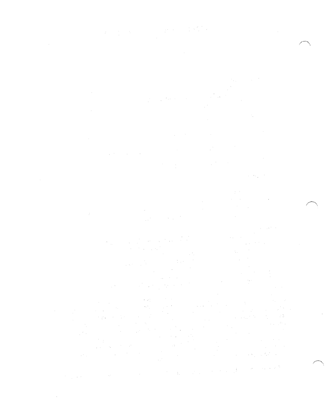$\label{eq:1} \frac{d}{dt}\left(\frac{d}{dt}\right) = \frac{d}{dt}\left(\frac{d}{dt}\right) \left(\frac{d}{dt}\right) = \frac{d}{dt}\left(\frac{d}{dt}\right)$ 

 $\label{eq:2.1} \frac{1}{2}\sum_{i=1}^n\frac{1}{2}\sum_{j=1}^n\frac{1}{2}\sum_{j=1}^n\frac{1}{2}\sum_{j=1}^n\frac{1}{2}\sum_{j=1}^n\frac{1}{2}\sum_{j=1}^n\frac{1}{2}\sum_{j=1}^n\frac{1}{2}\sum_{j=1}^n\frac{1}{2}\sum_{j=1}^n\frac{1}{2}\sum_{j=1}^n\frac{1}{2}\sum_{j=1}^n\frac{1}{2}\sum_{j=1}^n\frac{1}{2}\sum_{j=1}^n\frac{1}{2}\sum_{j=1}^n\$  $\label{eq:2.1} \frac{1}{\sqrt{2\pi}}\int_{\mathbb{R}^3}\frac{1}{\sqrt{2\pi}}\int_{\mathbb{R}^3}\frac{1}{\sqrt{2\pi}}\int_{\mathbb{R}^3}\frac{1}{\sqrt{2\pi}}\int_{\mathbb{R}^3}\frac{1}{\sqrt{2\pi}}\int_{\mathbb{R}^3}\frac{1}{\sqrt{2\pi}}\int_{\mathbb{R}^3}\frac{1}{\sqrt{2\pi}}\int_{\mathbb{R}^3}\frac{1}{\sqrt{2\pi}}\int_{\mathbb{R}^3}\frac{1}{\sqrt{2\pi}}\int_{\mathbb{R}^3}\frac{1$  $\label{eq:2.1} \mathcal{L}^{\mathcal{A}}(\mathbf{r},\mathbf{r})=\mathcal{L}^{\mathcal{A}}(\mathbf{r},\mathbf{r})=\mathcal{L}^{\mathcal{A}}(\mathbf{r},\mathbf{r})=\mathcal{L}^{\mathcal{A}}(\mathbf{r},\mathbf{r})=\mathcal{L}^{\mathcal{A}}(\mathbf{r},\mathbf{r})$ 

 $\label{eq:2.1} \mathcal{L}(\mathcal{L}^{\text{max}}_{\text{max}}(\mathcal{L}^{\text{max}}_{\text{max}}(\mathcal{L}^{\text{max}}_{\text{max}}(\mathcal{L}^{\text{max}}_{\text{max}})))$  $\label{eq:2.1} \frac{1}{2} \int_{\mathbb{R}^3} \left[ \frac{1}{2} \int_{\mathbb{R}^3} \left( \frac{1}{2} \int_{\mathbb{R}^3} \left( \frac{1}{2} \int_{\mathbb{R}^3} \left( \frac{1}{2} \int_{\mathbb{R}^3} \right) \right) \right) \, d\mu \right] \, d\mu \, d\mu \, d\mu$ 

 $\label{eq:2.1} \begin{split} \mathcal{L}_{\text{max}}(\mathbf{A}^{\text{max}}_{\text{max}}) = \mathcal{L}_{\text{max}}(\mathbf{A}^{\text{max}}_{\text{max}}) \,,\\ \mathcal{L}_{\text{max}}(\mathbf{A}^{\text{max}}_{\text{max}}) = \mathcal{L}_{\text{max}}(\mathbf{A}^{\text{max}}_{\text{max}}) \,,\\ \mathcal{L}_{\text{max}}(\mathbf{A}^{\text{max}}_{\text{max}}) = \mathcal{L}_{\text{max}}(\mathbf{A}^{\text{max}}_{\text{max}}) \,, \end{split}$  $\frac{1}{\sqrt{2}}\sum_{\alpha\in\mathcal{A}}\frac{1}{\alpha\alpha\beta}$  $\label{eq:1} \frac{1}{2} \sum_{i=1}^n \frac{1}{2} \sum_{j=1}^n \frac{1}{2} \sum_{j=1}^n \frac{1}{2} \sum_{j=1}^n \frac{1}{2} \sum_{j=1}^n \frac{1}{2} \sum_{j=1}^n \frac{1}{2} \sum_{j=1}^n \frac{1}{2} \sum_{j=1}^n \frac{1}{2} \sum_{j=1}^n \frac{1}{2} \sum_{j=1}^n \frac{1}{2} \sum_{j=1}^n \frac{1}{2} \sum_{j=1}^n \frac{1}{2} \sum_{j=1}^n \frac{1}{$ 

where the contribution of the contribution of the contribution of  $\mathcal{F}^{\mathcal{A}}$  , where  $\mathcal{F}^{\mathcal{A}}$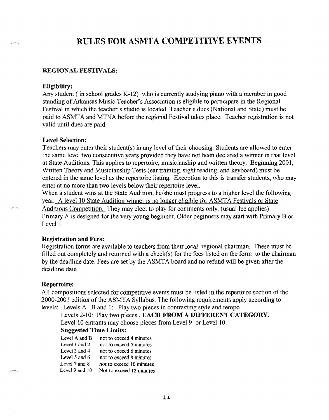### RULES **FOR** ASMTA COMPETITIVE EVENTS

#### REGIONAL FESTIVALS:

#### Eligibility:

Any student (in school grades K-12) who is currently studying piano with a member in good standing of Arkansas Music Teacher's Association is eligible to participate in the Regional Festival in which the teacher's studio is located. Teacher's dues (National and State) must be paid to ASMTA and MTNA before the regional Festival takes place. Teacher registration is not valid until dues are paid.

#### Level Selection:

Teachers may enter their student(s) in any level of their choosing. Students are allowed to enter the same level two consecutive years provided they have not been declared a winner in that level at State Auditions. This applies to repertoire, musicianship and written theory. Beginning 2001, Written Theory and Musicianship Tests (ear training, sight reading, and keyboard) must be entered in the same level as the repertoire listing. Exception to this is transfer students, who may enter at no more than two levels below their repertoire level.

When a student wins at the State Audition, he/she must progress to a higher level the following year. A level 10 State Audition winner is no longer eligible for ASMTA Festivals or State Auditions Competition. They may elect to play for comments only. (usual fee applies) Primary A is designed for the very young beginner. Older beginners may start with Primary B or Level 1.

#### Registration and Fees:

Registration forms are available to teachers from their local regional chairman. These must be filled out completely and returned with a check(s) for the fees listed on the form to the chairman by the deadline date. Fees are set by the ASMTA board and no refund will be given after the deadline date.

#### Repertoire:

All compositions selected for competitive events must be listed in the repertoire section of the 2000-2001 edition of the ASMTA Syllabus. The following requirements apply according to levels: Levels A Band 1: Play two pieces in contrasting style and tempo

Levels 2-10: Play two pieces, EACH FROM A DIFFERENT CATEGORY.

Level 10 entrants may choose pieces from Level 9 or Level 10.

#### Suggested Time Limits:

| Level A and B  | not to exceed 4 minutes  |
|----------------|--------------------------|
| Level 1 and 2  | not to exceed 5 minutes  |
| Level 3 and 4  | not to exceed 6 minutes  |
| Level 5 and 6  | not to exceed 8 minutes  |
| Level 7 and 8  | not to exceed 10 minutes |
| Level 9 and 10 | Not to exceed 12 minutes |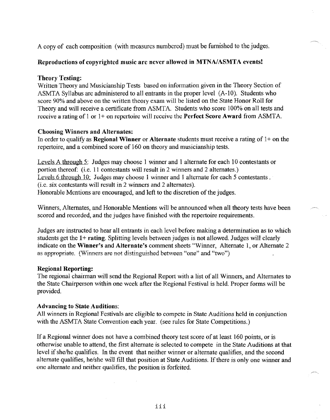A copy of each composition (with measures numbered) must be furnished to the judges.

#### Reproductions of copyrighted music are never allowed **in** MTNAIASMTA events!

#### Theory Testing:

Written Theory and Musicianship Tests based on information given in the Theory Section of ASMTA Syllabus are administered to all entrants in the proper level (A-10). Students who score 90% and above on the written theory exam will be listed on the State Honor Roll for Theory and will receive a certificate from ASMTA. Students who score 100% on all tests and receive a rating of 1 or  $1+$  on repertoire will receive the **Perfect Score Award** from ASMTA.

#### Choosing Winners and Alternates:

In order to qualify as Regional Winner or Alternate students must receive a rating of  $1+$  on the repertoire, and a combined score of 160 on theory and musicianship tests.

Levels A through 5: Judges may choose 1 winner and 1 alternate for each 10 contestants or portion thereof: (i.e. 11 contestants will result in 2 winners and 2 alternates.) Levels 6 through 10: Judges may choose 1 winner and 1 alternate for each 5 contestants. (i.e. six contestants will result in 2 winners and 2 alternates). Honorable Mentions are encouraged, and left to the discretion of the judges.

Winners, Alternates, and Honorable Mentions will be announced when all theory tests have been scored and recorded, and the judges have finished with the repertoire requirements.

Judges are instructed to hear all entrants in each level before making a determination as to which students get the 1+ rating. Splitting levels between judges is not allowed. Judges will clearly indicate on the Winner's and Alternate's comment sheets "Winner, Alternate I, or Alternate 2 as appropriate. (Winners are not distinguished between "one" and "two")

#### Regional Reporting:

The regional chairman will send the Regional Report with a list of all Winners, and Alternates to the State Chairperson within one week after the Regional Festival is held. Proper forms will be provided.

#### Advancing to State Auditions:

All winners in Regional Festivals are eligible to compete in State Auditions held in conjunction with the ASMTA State Convention each year. (see rules for State Competitions.)

If a Regional winner does not have a combined theory test score of at least 160 points, or is otherwise unable to attend, the first alternate is selected to compete in the State Auditions at that level if she/he qualifies. In the event that neither winner or alternate qualifies, and the second alternate qualifies, he/she will fill that position at State Auditions. If there is only one winner and one alternate and neither qualifies, the position is forfeited.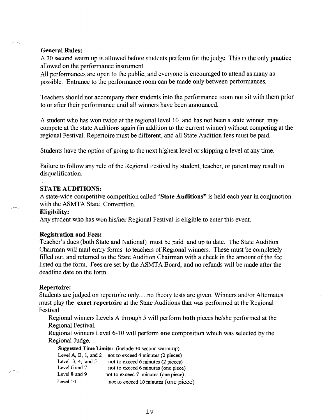#### General Rules:

A 30 second warm up is allowed before students perform for the judge. This is the only practice allowed on the performance instrument

All performances are open to the public, and everyone is encouraged to attend as many as possible. Entrance to the performance room can be made only between performances.

Teachers should not accompany their students into the performance room nor sit with them prior to or after their performance until all winners have been announced.

A student who has won twice at the regional level 10, and has not been a state winner, may compete at the state Auditions again (in addition to the current winner) without competing at the regional Festival. Repertoire must be different, and all State Audition fees must be paid.

Students have the option of going to the next highest level or skipping a level at any time.

Failure to follow any rule of the Regional Festival by student, teacher, or parent may result in disqualification.

#### STATE AUDITIONS:

A state-wide competitive competition called "State Auditions" is held each year in conjunction with the ASMTA State Convention.

#### Eligibility:

Any student who has won bis/her Regional Festival is eligible to enter this event.

#### Registration and Fees:

Teacher's dues (both State and National) must be paid and up to date. The State Audition Chairman will mail entry forms to teachers of Regional winners. These must be completely filled out, and returned to the State Audition Chairman with a check in the amount of the fee listed on the form. Fees are set by the ASMT A Board, and no refunds will be made after the deadline date on the form.

#### Repertoire:

Students are judged on repertoire only ..... no theory tests are given. Winners and/or Alternates must play the exact repertoire at the State Auditions that was performed at the Regional Festival.

Regional winners Levels A through 5 will perform both pieces he/she performed at the Regional FestivaL

Regional winners Level 6-10 will perform one composition which was selected by the Regional Judge.

|                        | Suggested Time Limits: (include 30 second warm-up) |
|------------------------|----------------------------------------------------|
| Level A, B, 1, and $2$ | not to exceed 4 minutes (2 pieces)                 |
| Level $3, 4,$ and $5$  | not to exceed 6 minutes (2 pieces)                 |
| Level 6 and 7          | not to exceed 6 minutes (one piece)                |
| Level 8 and 9          | not to exceed 7 minutes (one piece)                |
| Level 10               | not to exceed 10 minutes (one piece)               |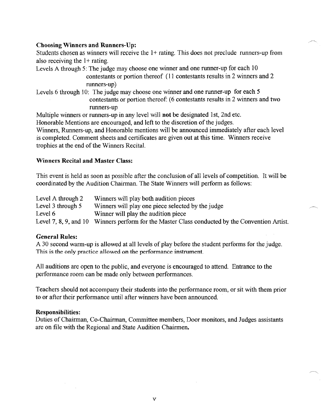#### Choosing Winners and Runners-Up:

Students chosen as winners will receive the  $1+$  rating. This does not preclude runners-up from also receiving the  $1+$  rating.

Levels A through 5: The judge may choose one winner and one runner-up for each 10 contestants or portion thereof (11 contestants results in 2 winners and 2 runners-up)

Levels 6 through 10: The judge may choose one winner and one runner-up for each 5 contestants or portion thereof: (6 contestants results in 2 winners and two runners-up

Multiple winners or runners-up in any level will not be designated 1st, 2nd etc.

Honorable Mentions are encouraged, and left to the discretion of the judges.

Winners, Runners-up, and Honorable mentions will be announced immediately after each level is completed. Comment sheets and certificates are given out at this time. Winners receive trophies at the end of the Winners Recital.

#### Winners Recital and Master Class:

This event is held as soon as possible after the conclusion of all levels of competition. It will be coordinated by the Audition Chairman. The State Winners will perform as follows:

| Level A through 2 | Winners will play both audition pieces                                                         |
|-------------------|------------------------------------------------------------------------------------------------|
| Level 3 through 5 | Winners will play one piece selected by the judge                                              |
| Level 6           | Winner will play the audition piece                                                            |
|                   | Level 7, 8, 9, and 10 Winners perform for the Master Class conducted by the Convention Artist. |

#### General Rules:

A 30 second warm-up is allowed at all levels of play before the student performs for the judge. This is the only practice allowed on the performance instrument.

All auditions are open to the public, and everyone is encouraged to attend. Entrance to the performance room can be made only between performances.

Teachers should not accompany their students into the performance room, or sit with them prior to or after their performance until after winners have been announced.

#### Responsibilities:

Duties of Chairman, Co-Chairman, Committee members, Door monitors, and Judges assistants are on file with the Regional and State Audition Chairmen.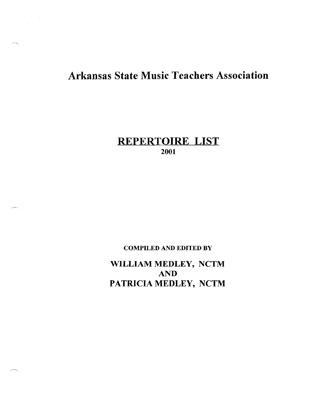### Arkansas State Music Teachers Association

REPERTOIRE LIST 2001

COMPILED AND EDITED BY

WILLIAM MEDLEY, NCTM AND PATRICIA MEDLEY, NCTM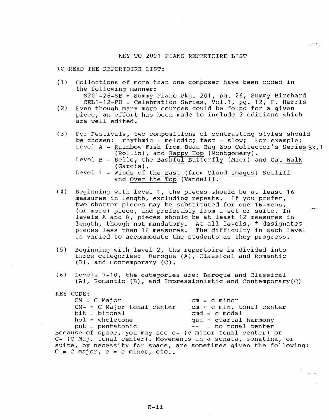#### KEY TO 2001 PIANO REPERTOIRE LIST

TO READ THE REPERTOIRE LIST:

- (1) Collections of more than one composer have been coded in the following manner: S201-26-SB = Summy Piano Pkg. 201, pg. 26, Summy Birchard CEL1-12-FH = Celebration Series, Vol.1, pg. 12, F. Harris
- (2) Even though many more sources could be found for a given piece, an effort has been made to include 2 editions which are well edited.
- (3) For Festivals, two compositions of contrasting styles should be chosen: rhythmic - melodic; fast - slow; For example: Level A - Rainbow Fish from Bean Bag Zoo Collector's Series  $Bk.1$ (Rollin), and Happy Hop (Montgomery). Level B - Belle, the Bashful Butterfly (Mier) and Cat Walk (Garcia). Level  $1$  - Winds of the East (from Cloud Images) Setliff and Over the Top (Vandall).
- (4) Beginning with level 1, the pieces should be at least 16 measures in length, excluding repeats. If you prefer, two shorter pieces may be substituted for one 16-meas. (or more) piece, and preferably from a set or suite. In levels A and B, pieces should be at least 12 measures in length, though not mandatory. At all levels, \* designates pieces less than 16 measures. The difficulty in each level is varied to accommodate the students as they progress.
- (5) Beginning with level 2, the repertoire is divided into three categories: Baroque (AJ, Classical and Romantic (B), and Contemporary (C).
- (6) Levels 7-iO, the categories are: Baroque and Classical (A), Romantic (B), and Impressionistic and contemporary(C)

| KEY CODE: |                                                            |  |  |                         |                        |                            |  |
|-----------|------------------------------------------------------------|--|--|-------------------------|------------------------|----------------------------|--|
|           | $CM = C$ Major                                             |  |  | $cm = c$ minor          |                        |                            |  |
|           | $CM - = C$ Major tonal center                              |  |  |                         |                        | $cm = c min.$ tonal center |  |
|           | $bit = bitonal$                                            |  |  | $cmd = c \text{ modal}$ |                        |                            |  |
|           | $hol = whole$                                              |  |  |                         | qua = quartal harmony  |                            |  |
|           | $pnt = pentatonic$                                         |  |  |                         | $--$ = no tonal center |                            |  |
|           | Because of space, you may see c- (c minor tonal center) or |  |  |                         |                        |                            |  |

C- (C Maj. tonal center). Movements in a sonata, sonatina, or suite, by necessity for space, are sometimes given the following:  $C = C$  Major,  $c = c$  minor, etc..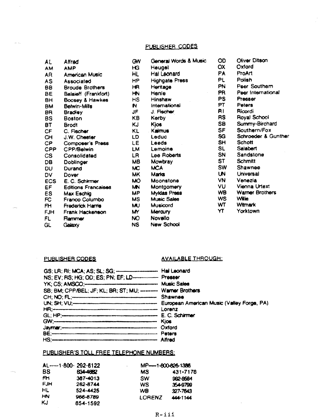#### PUBLISHER CODES

|                            | GW                                                                                                                                                                    | General Words & Music | OD        | <b>Oliver Ditson</b>                                         |
|----------------------------|-----------------------------------------------------------------------------------------------------------------------------------------------------------------------|-----------------------|-----------|--------------------------------------------------------------|
| AMP                        | НG                                                                                                                                                                    | Heugel                | OX        | Oxford                                                       |
|                            | HL                                                                                                                                                                    | Hai Leonard           | PA        | ProArt                                                       |
| Associated                 | HP                                                                                                                                                                    | Highgate Press        | PL        | Polish                                                       |
|                            | HR                                                                                                                                                                    | Heritage              | PN        | Peer Southern                                                |
|                            | НN                                                                                                                                                                    | Hanle                 | <b>PR</b> | Peer International                                           |
|                            | HS                                                                                                                                                                    | Hinshaw               | PS        | Presser                                                      |
| Belwin-Mills               | N                                                                                                                                                                     | International         | PT        | Peters                                                       |
|                            | JF                                                                                                                                                                    | J. Fischer            | AI.       | Ricordi                                                      |
| <b>Boston</b>              | KB                                                                                                                                                                    | Kerby                 |           | Royal School                                                 |
|                            | ΚJ                                                                                                                                                                    | <b>Kjos</b>           | <b>SB</b> | Summy-Birchard                                               |
| C. Fischer                 |                                                                                                                                                                       | Kaimus                | <b>SF</b> | Southern/Fox                                                 |
| J.W. Chester               | LD                                                                                                                                                                    | Leduc                 | SG        | Schroeder & Gunther                                          |
| Composer's Press           | LE                                                                                                                                                                    | Leeds                 |           | Schott                                                       |
| <b>CPP/Belwin</b>          | LM                                                                                                                                                                    | Lemoine               | <b>SL</b> | Salabert                                                     |
| Consolidated               | LR                                                                                                                                                                    | Lee Roberts           |           | Sandstone                                                    |
|                            | <b>MB</b>                                                                                                                                                             | Mowbray               |           | <b>Schmitt</b>                                               |
| Durand                     | МC.                                                                                                                                                                   | <b>MCA</b>            | <b>SW</b> | Shawnee                                                      |
| Dover                      | <b>MK</b>                                                                                                                                                             | Marks                 | UN        | Universal                                                    |
|                            | <b>MO</b>                                                                                                                                                             | Moonstone             | <b>VN</b> | Venezia                                                      |
| <b>Editions Francaises</b> | МN                                                                                                                                                                    | <b>Montgomery</b>     | VU        | Vienna Urtext                                                |
| Max Eschig                 | <b>MP</b>                                                                                                                                                             | Myklas Press          | <b>WB</b> | <b>Warner Brothers</b>                                       |
| Franco Columbo             | <b>MS</b>                                                                                                                                                             | <b>Music Sales</b>    | <b>WS</b> | <b>Willie</b>                                                |
| Frederick Harris           | MU                                                                                                                                                                    | Musicord              |           | Witmark                                                      |
| Frank Hackenson            | MY                                                                                                                                                                    | Mercury               |           | Yorktown                                                     |
| <b>Hammer</b>              | <b>NO</b>                                                                                                                                                             | Novello               |           |                                                              |
| Galaxy                     | <b>NS</b>                                                                                                                                                             | New School            |           |                                                              |
|                            | Alfred<br><b>American Music</b><br><b>Broude Brothers</b><br>Balaieff (Frankfort)<br>Boosey & Hawkes<br><b>Bradley</b><br><b>Brodt</b><br>Doblinger<br>E. C. Schirmer | KL                    |           | <b>RS</b><br><b>SH</b><br><b>SN</b><br><b>ST</b><br>WT<br>ΥT |

#### PUBLISHER CODES

 $\sim$ 

 $\bar{z} = \bar{z}_\infty$ 

#### **AVAILABLE THROUGH:**

| Alfred | NS; EV; RS; HG; OD; ES; PN; EF; LD--------------- Presser<br>SB; BM; CPP/BEL; JF; KL; BR; ST; MU; --------- Warner Brothers | Lorenz<br>Kios<br>Oxford |
|--------|-----------------------------------------------------------------------------------------------------------------------------|--------------------------|
|        |                                                                                                                             | Peters                   |

#### PUBLISHER'S TOLL FREE TELEPHONE NUMBERS:

| AL-----1-800-292-6122 |                 | MP-1-800-826-1386 |          |  |
|-----------------------|-----------------|-------------------|----------|--|
| BS                    | <b>R34-48E2</b> | <b>MS</b>         | 431-7178 |  |
| fΗ                    | 387-4013        | <b>SW</b>         | 962-8584 |  |
| FJH                   | 262-8744        | <b>WS</b>         | 354-9799 |  |
| HL                    | 524-4425        | <b>WB</b>         | 327-7643 |  |
| HN                    | 966-8789        | <b>LORENZ</b>     | 444-1144 |  |
| ΚJ                    | 854-1592        |                   |          |  |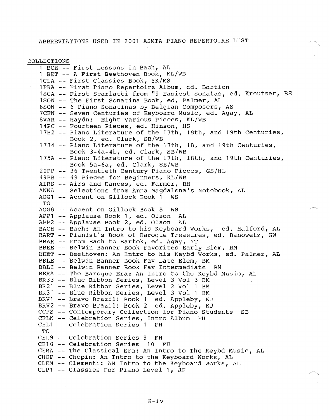```
COLLECTIONS<br>1 BCH -- First Lessons in Bach, AL
   1 BET - A First Beethoven Book, KL/WB 
   1CLA -- First Classics Book, YK/MS
   1PRA -- First Piano Repertoire Album, ed. Bastien
   1SCA -- First Scarlatti from "9 Easiest Sonatas, ed. Kreutzer, BS
   1SON -- The First Sonatina Book, ed. Palmer, AL
   6SON -- 6 Piano Sonatinas by Belgian Composers, AS
   7CEN -- Seven Centuries of Keyboard Music, ed. Agay, AL
   8VAR -- Haydn: Eight Various Pieces, KL/WB
   14PC -- Fourteen Pieces, ed. Hinson, HS
   17B2 -- Piano Literature of the 17th, 18th, and 19th Centuries,
           Book 2, ed. Clark, SB/WB 
   1734 -- Piano Literature of the 17th, 18, and 19th Centuries,
           Book 3-4a-4b, ed. Clark, SB/WB 
   175A -- Piano Literature of the 17th, 18th, and 19th Centuries,
           Book 5a-6a, ed. Clark, SB/WB 
   20PP -- 36 Twentieth Century Piano Pieces, GS/HL
   49PB -- 49 Pieces for Beginners, KL/WB
  AIRS -- Airs and Dances, ed. Farmer, BH
   ANNA -- Selections from Anna Magdalena's Notebook, AL<br>AOG1 -- Accent on Gillock Book 1 WS
  AOG1 -- Accent on Gillock Book 1
   TO 
  AOG8 -- Accent on Gillock Book 8 WS
  APP1 -- Applause Book 1, ed. Olson AL
  APP2 -- Applause Book 2, ed. Olson AL
  BACH -- Bach: An Intro to his Keyboard Works, ed. Halford, AL
  BART -- Pianist's Book of Baroque Treasures, ed. Banowetz, GW
  BBAR - From Bach to Bartok, ed. Agay, YT
  BBEE -- Belwin Banner Book Favorites Early Elem. BM
  BEET -- Beethoven: An Intro to his Keybd Works, ed. Palmer, AL
  BBLE -- Belwin Banner Book Fav Late Elem, BM
  BBLI -- Belwin Banner Book Fav Intermediate BM
  BERA -- The Baroque Era: An Intro to the Keybd Music, AL
  BR33 -- Blue Ribbon Series, Level 3 Vol 3 BM
  BR21 -- Blue Ribbon Series, Level 2 Vol 1 BM
  BR31 -- Blue Ribbon Series, Level 3 Vol 1 BM
  BRV1 -- Bravo Brazil! Book 1 ed. Appleby, KJ
  BRV2 -- Bravo Brazil! Book 2 ed. Appleby, KJ
  CCPS -- Contemporary Collection for Piano Students SB
  CELN -- Celebration Series, Intro Album FH
  CEL1 -- Celebration Series 1 FH
   TO 
  CEL9 -- Celebration Series 9 FH
  CE10 -- Celebration Series 10 FH
  CERA -- The Classical Era: An Intro to The Keybd Music, AL
  CHOP -- Chopin: An Intro to the Keyboard Works, AL
  CLEM -- Clementi: AN Intro to the Keyboard Works, AL
  CLP1 -- Classics For Piano Level 1, JF
```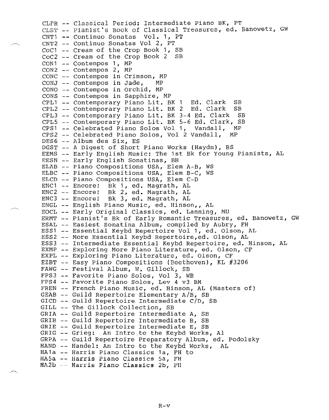```
CLPR -- Classical Period: Intermediate Piano BK, PT
CLST -- Pianist's Book of Classical Treasures, ed. Banowetz, GW
CNT1 -- Continuo Sonatas Vol. 1, PT
CNT2 -- Continuo Sonatas Vol 2, PT
CoC1 -- Cream of the Crop Book 1, SB<br>CoC2 -- Cream of the Crop Book 2 SB
CoC2 -- Cream of the Crop Book 2
CON1 -- Contempos 1, MP
CON2 -- Contempos 2, MP
CONC -- Contempos in Crimson, MP<br>CONJ -- Contempos in Jade. MP
CONJ -- Contempos in Jade,
CONO -- Contempos in Orchid, MP
CONS -- Contempos in Sapphire, MP
CPL1 -- Contemporary Piano Lit. BK 1 Ed. Clark SB<br>CPL2 -- Contemporary Piano Lit. BK 2 Ed. Clark SB
CPL2 -- Contemporary Piano Lit. BK 2 Ed. Clark
CPL3 -- Contemporary Piano Lit. BK 3-4 Ed. Clark SB
CPL5 -- Contemporary Piano Lit. BK 5-6 Ed. Clark, SB
CPS1 -- Celebrated Piano Solos Vol 1, Vandall, MP<br>CPS2 -- Celebrated Piano Solos, Vol 2 Vandall, MP
CPS2 -- Celebrated Piano Solos, Vol 2 Vandall,
DES6 -- Album des Six, ESDGST -- A Digest of Short Piano Works (Haydn), BS
EEMS -- Early English Music: The 1st Bk for Young Pianists, AL
EESN -- Early English Sonatinas, BH
ELAB -- Piano Compositions USA, Elem A-B, WS
ELBC -- Piano Compositions USA, Elem B-C, WS
ELCD -- Piano Compositions USA, Elem C-D
ENC1 -- Encore! Bk 1, ed. Magrath, AL
ENC2 - Encore! Bk 2, ed. Magrath, AL 
ENC3 -- Encore! Bk 3, ed. Magrath, AL
ENGL -- English Piano Music, ed. Hinson,, AL
EOCL Early Original Classics, ed. Lanning, MU 
ERMT -- Pianist's Bk of Early Romantic Treasures, ed. Banowetz, GW
ESAL -- Easiest Sonatina Album, compiled by Aubry, FH
ESS1 -- Essential Keybd Repertoire Vol 1, ed. Olson, AL
ESS2 -- More Essential Keybd Repertoire, ed. Olson, AL
ESS3 -- Intermediate Essential Keybd Repertoire, ed. Hinson, AL
EXMP -- Exploring More Piano Literature, ed. Olson, CF
EXPL -- Exploring Piano Literature, ed. Olson, CF
EZBT -- Easy Piano Compositions (Beethoven), KL #3206FAWG -- Festival Album, W. Gillock, SB
FPS3 -- Favorite Piano Solos, Vol 3, WB
FPS4 -- Favorite Piano Solos, Lev 4 v3 BM
FREN -- French Piano Music, ed. Hinson, AL (Masters of)
GEAB -- Guild Repertoire Elementary A/B, SB
GICD -- Guild Repertoire Intermediate C/D, SB
GILL -- The Gillock Collection, SB
GRIA -- Guild Repertoire Intermediate A, SB
GRIB -- Guild Repertoire Intermediate B, SB
GRIE -- Guild Repertoire Intermediate E, SB
GRIG -- Grieg: An Intro, to the Keybd Works, Al
GRPA -- Guild Repertoire Preparatory Album, ed. Podolsky
HAND -- Handel: An Intro to the Keybd Works, AL
HA1a -- Harris Piano Classics 1a, FH to
HA5a -- Harris Piano Classics 5a, FH
HA2b -- Harris Piano Classics 2b, FH
```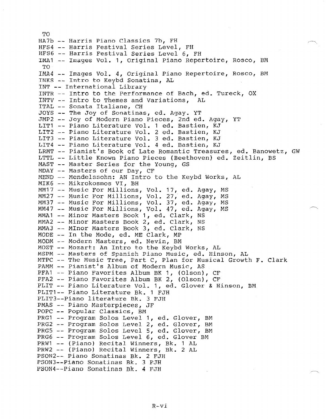TO HA7b -- Harris Piano Classics 7b, FH  $\mathcal{N}_\mathrm{c}$  //--,  $\mathcal{N}_\mathrm{c}$  //--,  $\mathcal{N}_\mathrm{c}$  //--,  $\mathcal{N}_\mathrm{c}$  //--,  $\mathcal{N}_\mathrm{c}$  //--,  $\mathcal{N}_\mathrm{c}$ HFS4 -- Harris Festival Series Level, FH HFS6 -- Harris Festival Series Level 6, FH IMA1 -- Images Vol. 1, Original Piano Repertoire, Rosco, BM TO IMA4 -- Images Vol. 4, Original Piano Repertoire, Rosco, BM INKS -- Intro to Keybd Sonatina, AL TNT -- International Library INTR -- Intro to the Performance of Bach, ed. Tureck, OX INTV -- Intro to Themes and Variations, AL ITAL -- Sonata Italiane, CH JOYS -- The Joy of Sonatinas, ed. Agay. YT JMP2 -- Joy of Modern Piano Pieces, 2nd ed. Agay, YT LIT1 -- Piano Literature Vol. 1 ed. Bastien, KJ LIT2 -- Piano Literature Vol. 2 ed. Bastien, KJ LIT3 -- Piano Literature Vol. 3 ed. Bastien, KJ LIT4 -- Piano Literature Vol. 4 ed. Bastien, KJ LRMT -- Pianist's Book of Late Romantic Treasures, ed. Banowetz, GW LTTL -- Little Known Piano Pieces (Beethoven) ed. Zeitlin, BS MAST -- Master Series for the Young, GS MDAY -- Masters of our Day, CF MEND -- Mendelssohn: AN Intro to the Keybd Works, AL MIK6 -- Mikrokosmos VI, BH MM17 -- Music For Millions, Vol. 17, ed. Agay, MS MM27 -- Music For Millions, Vol. 27, ed. Agay, MS<br>MM37 -- Music For Millions, Vol. 37, ed. Agay, MS MM47 -- Music For Millions, Vol. 47, ed. Agay, MS MMA1 -- Minor Masters Book 1, ed. Clark, NS MMA2 -- Minor Masters Book 2, ed. Clark, NS MMA3 -- MInor Masters Book 3, ed. Clark, NS MODE  $--$  In the Mode, ed. ME Clark, MP MODM -- Modern Masters, ed. Nevin, BM MOZT -- Mozart: An Intro to the Keybd Works, AL MSPM -- Masters of Spanish Piano Music, ed. Hinson, AL MTPC -- The Music Tree, Part C, Plan for Musical Growth F. Clark PAMM -- Pianist's Album of Modern Music, AS PFA1 -- Piano Favorites Album BK 1, (Olson), CF PFA2 -- Piano Favorites Album BK 2, (Olson), CF PLIT -- Piano Literature Vol. 1, ed. Glover & Hinson, BM PLIT1-- Piano Literature Bk. 1 FJH PLIT3--Piano literature Bk. 3 FJH PMAS -- Piano Masterpieces, JF POPC -- Popular Classics, BM PRG1 -- Program Solos Level 1, ed. Glover, BM PRG2 -- Program Solos Level 2, ed. Glover, BM PRG5 -- Program Solos Level 5, ed. Glover, BM PRG6 -- Program Solos Level 6, ed. Glover BM PRW1 -- (Piano) Recital Winners, Bk. 1 AL PRW2 -- (Piano) Recital Winners, Bk. 2 AL PSON2-- Piano Sonatinas Bk. 2 FJH PSON3--Piano Sonatinas Bk. 3 FJH PSON4 -- Piano Sonatinas Bk. 4 FJH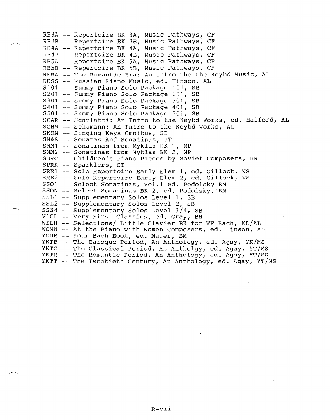RB3A -- Repertoire BK 3A, Music Pathways, CF RB3B -- Repertoire BK 3B, Music Pathways, CF RB4A -- Repertoire BK 4A, Music Pathways, CF RB4B -- Repertoire BK 4B, Music Pathways, CF RB5A -- Repertoire BK 5A, Music Pathways, CF RB5B -- Repertoire BK 5B, Music Pathways, CF RERA -- The Romantic Era: An Intro the the Keybd Music, AL RUSS -- Russian Piano Music, ed. Hinson, AL S101 -- Summy Piano Solo Package 101, SB S201 -- Summy Piano Solo Package 201, SB S301 -- Summy Piano Solo Package 301, SB S401 -- Summy Piano Solo Package 401, SB S501 -- Summy Piano Solo Package 501, SB SCAR -- Scarlatti: An Intro to the Keybd Works, ed. Halford, AL SCHM -- Schumann: An Intro to the Keybd Works, AL SKOM -- Singing Keys Omnibus, SB SN&S -- Sonatas And Sonatinas, PT SNM1 -- Sonatinas from Myklas BK 1, MP SNM2 -- Sonatinas from Myklas BK 2, MP SOVC -- Children's Piano Pieces by Soviet Composers, HR SPRK -- Sparklers, ST SRE1 -- Solo Repertoire Early Elem  $1$ , ed. Gillock, WS  $SRE2$  -- Solo Repertoire Early Elem 2, ed. Gillock, WS SS01 -- Select Sonatinas, Vol.1 ed. Podolsky BM SSON -- Select Sonatinas BK 2, ed. Podolsky, BM SSL1 -- Supplementary Solos Level 1, SB SSL2 -- Supplementary Solos Level 2, SB SS34 -- Supplementary Solos Level 3/4, SB V1CL -- Very First Classics, ed. Gray, BH WILH -- Selections/ Little Clavier BK for WF Bach, KL/AL WOMN -- At the Piano with Women Composers, ed. Hinson, AL YOUR -- Your Bach Book, ed. Maier, BM YKTB -- The Baroque Period, An Anthology, ed. Agay, YK/MS YKTC -- The Classical Period, An Antholgy, ed. Agay, YT/MS YKTR -- The Romantic Period, An Anthology, ed. Agay, YT/MS YKTT -- The Twentieth Century, An Anthology, ed. Agay, YT/MS